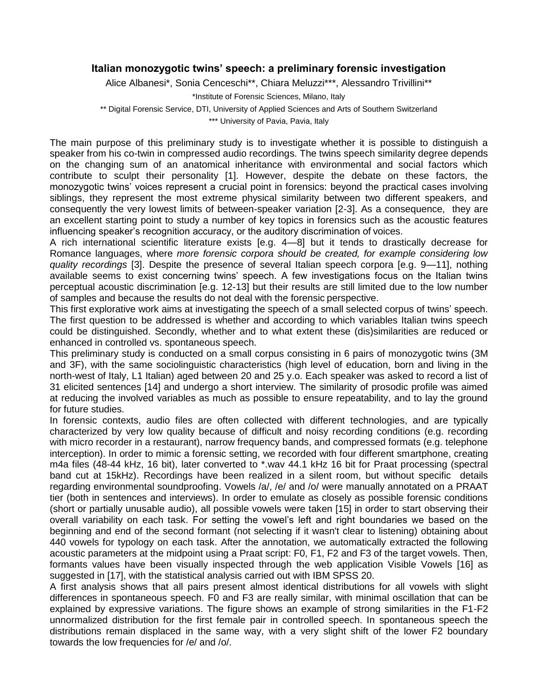## **Italian monozygotic twins' speech: a preliminary forensic investigation**

Alice Albanesi\*, Sonia Cenceschi\*\*, Chiara Meluzzi\*\*\*, Alessandro Trivillini\*\*

\*Institute of Forensic Sciences, Milano, Italy

\*\* Digital Forensic Service, DTI, University of Applied Sciences and Arts of Southern Switzerland

\*\*\* University of Pavia, Pavia, Italy

The main purpose of this preliminary study is to investigate whether it is possible to distinguish a speaker from his co-twin in compressed audio recordings. The twins speech similarity degree depends on the changing sum of an anatomical inheritance with environmental and social factors which contribute to sculpt their personality [1]. However, despite the debate on these factors, the monozygotic twins' voices represent a crucial point in forensics: beyond the practical cases involving siblings, they represent the most extreme physical similarity between two different speakers, and consequently the very lowest limits of between-speaker variation [2-3]. As a consequence, they are an excellent starting point to study a number of key topics in forensics such as the acoustic features influencing speaker's recognition accuracy, or the auditory discrimination of voices.

A rich international scientific literature exists [e.g. 4—8] but it tends to drastically decrease for Romance languages, where *more forensic corpora should be created, for example considering low quality recordings* [3]. Despite the presence of several Italian speech corpora [e.g. 9—11], nothing available seems to exist concerning twins' speech. A few investigations focus on the Italian twins perceptual acoustic discrimination [e.g. 12-13] but their results are still limited due to the low number of samples and because the results do not deal with the forensic perspective.

This first explorative work aims at investigating the speech of a small selected corpus of twins' speech. The first question to be addressed is whether and according to which variables Italian twins speech could be distinguished. Secondly, whether and to what extent these (dis)similarities are reduced or enhanced in controlled vs. spontaneous speech.

This preliminary study is conducted on a small corpus consisting in 6 pairs of monozygotic twins (3M and 3F), with the same sociolinguistic characteristics (high level of education, born and living in the north-west of Italy, L1 Italian) aged between 20 and 25 y.o. Each speaker was asked to record a list of 31 elicited sentences [14] and undergo a short interview. The similarity of prosodic profile was aimed at reducing the involved variables as much as possible to ensure repeatability, and to lay the ground for future studies.

In forensic contexts, audio files are often collected with different technologies, and are typically characterized by very low quality because of difficult and noisy recording conditions (e.g. recording with micro recorder in a restaurant), narrow frequency bands, and compressed formats (e.g. telephone interception). In order to mimic a forensic setting, we recorded with four different smartphone, creating m4a files (48-44 kHz, 16 bit), later converted to \*.wav 44.1 kHz 16 bit for Praat processing (spectral band cut at 15kHz). Recordings have been realized in a silent room, but without specific details regarding environmental soundproofing. Vowels /a/, /e/ and /o/ were manually annotated on a PRAAT tier (both in sentences and interviews). In order to emulate as closely as possible forensic conditions (short or partially unusable audio), all possible vowels were taken [15] in order to start observing their overall variability on each task. For setting the vowel's left and right boundaries we based on the beginning and end of the second formant (not selecting if it wasn't clear to listening) obtaining about 440 vowels for typology on each task. After the annotation, we automatically extracted the following acoustic parameters at the midpoint using a Praat script: F0, F1, F2 and F3 of the target vowels. Then, formants values have been visually inspected through the web application Visible Vowels [16] as suggested in [17], with the statistical analysis carried out with IBM SPSS 20.

A first analysis shows that all pairs present almost identical distributions for all vowels with slight differences in spontaneous speech. F0 and F3 are really similar, with minimal oscillation that can be explained by expressive variations. The figure shows an example of strong similarities in the F1-F2 unnormalized distribution for the first female pair in controlled speech. In spontaneous speech the distributions remain displaced in the same way, with a very slight shift of the lower F2 boundary towards the low frequencies for /e/ and /o/.